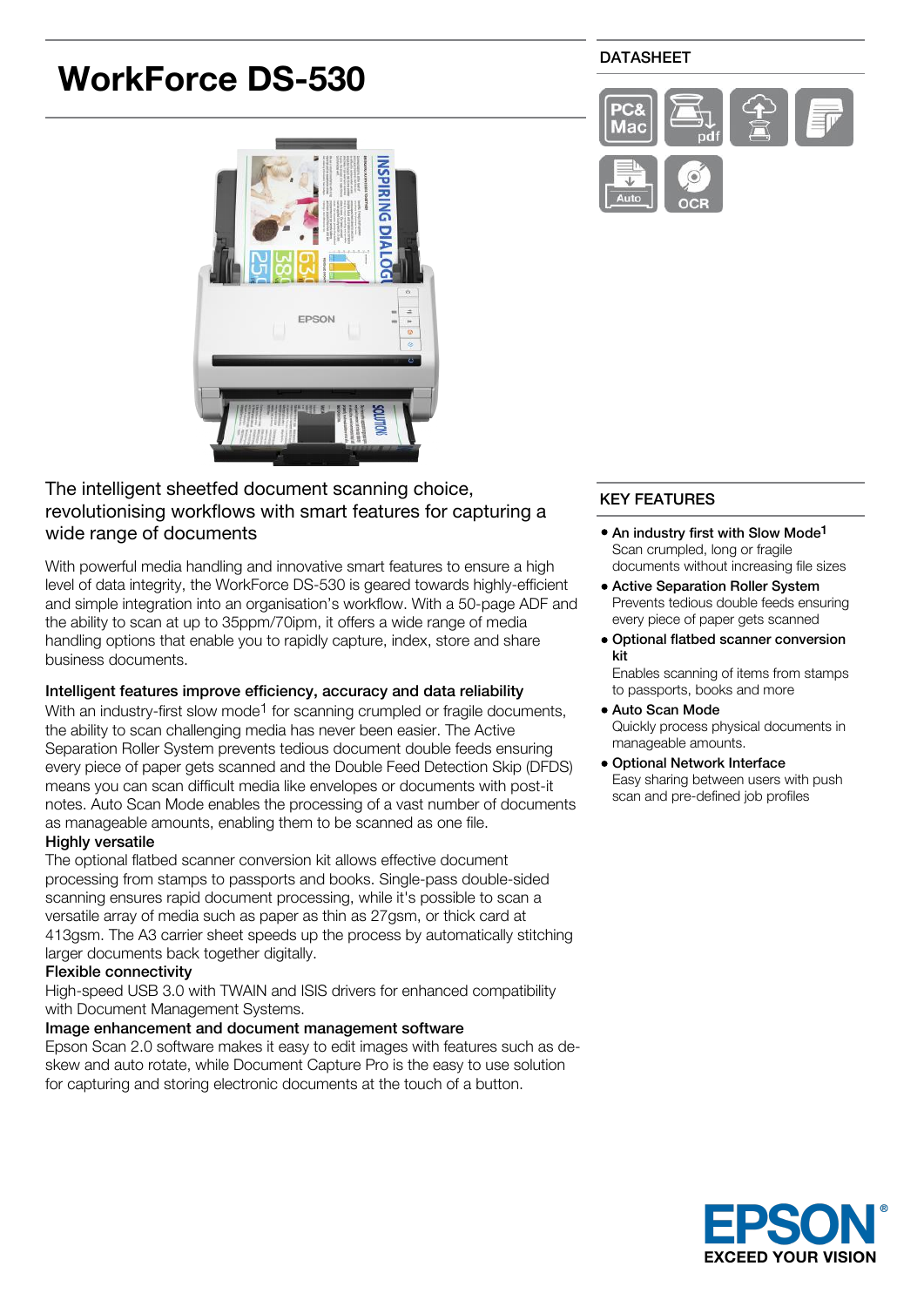# **WorkForce DS-530**

# **NSPIRING** Ō EPSON

# The intelligent sheetfed document scanning choice, revolutionising workflows with smart features for capturing a wide range of documents

With powerful media handling and innovative smart features to ensure a high level of data integrity, the WorkForce DS-530 is geared towards highly-efficient and simple integration into an organisation's workflow. With a 50-page ADF and the ability to scan at up to 35ppm/70ipm, it offers a wide range of media handling options that enable you to rapidly capture, index, store and share business documents.

# Intelligent features improve efficiency, accuracy and data reliability

With an industry-first slow mode<sup>1</sup> for scanning crumpled or fragile documents, the ability to scan challenging media has never been easier. The Active Separation Roller System prevents tedious document double feeds ensuring every piece of paper gets scanned and the Double Feed Detection Skip (DFDS) means you can scan difficult media like envelopes or documents with post-it notes. Auto Scan Mode enables the processing of a vast number of documents as manageable amounts, enabling them to be scanned as one file.

# Highly versatile

The optional flatbed scanner conversion kit allows effective document processing from stamps to passports and books. Single-pass double-sided scanning ensures rapid document processing, while it's possible to scan a versatile array of media such as paper as thin as 27gsm, or thick card at 413gsm. The A3 carrier sheet speeds up the process by automatically stitching larger documents back together digitally.

# Flexible connectivity

High-speed USB 3.0 with TWAIN and ISIS drivers for enhanced compatibility with Document Management Systems.

# Image enhancement and document management software

Epson Scan 2.0 software makes it easy to edit images with features such as deskew and auto rotate, while Document Capture Pro is the easy to use solution for capturing and storing electronic documents at the touch of a button.

# DATASHEET



# KEY FEATURES

- An industry first with Slow Mode<sup>1</sup> Scan crumpled, long or fragile documents without increasing file sizes
- Active Separation Roller System Prevents tedious double feeds ensuring every piece of paper gets scanned
- Optional flatbed scanner conversion kit

Enables scanning of items from stamps to passports, books and more

- Auto Scan Mode Quickly process physical documents in manageable amounts.
- Optional Network Interface Easy sharing between users with push scan and pre-defined job profiles

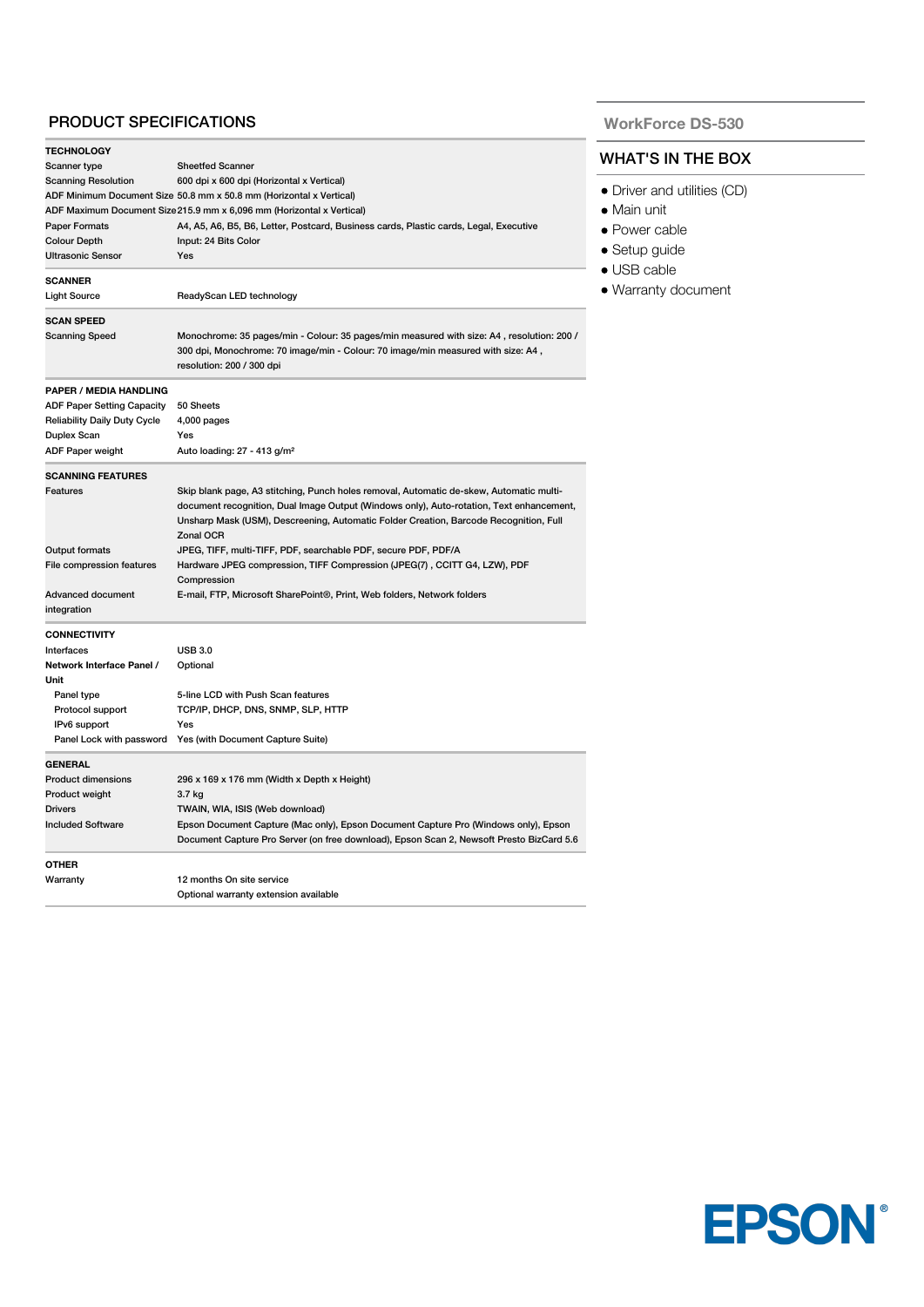# PRODUCT SPECIFICATIONS

| <b>TECHNOLOGY</b>                                                                                                                              |                                                                                                                                                                                                            |  |
|------------------------------------------------------------------------------------------------------------------------------------------------|------------------------------------------------------------------------------------------------------------------------------------------------------------------------------------------------------------|--|
| Scanner type                                                                                                                                   | <b>Sheetfed Scanner</b>                                                                                                                                                                                    |  |
| <b>Scanning Resolution</b><br>600 dpi x 600 dpi (Horizontal x Vertical)<br>ADF Minimum Document Size 50.8 mm x 50.8 mm (Horizontal x Vertical) |                                                                                                                                                                                                            |  |
|                                                                                                                                                |                                                                                                                                                                                                            |  |
| <b>Paper Formats</b>                                                                                                                           |                                                                                                                                                                                                            |  |
| <b>Colour Depth</b>                                                                                                                            |                                                                                                                                                                                                            |  |
| <b>Ultrasonic Sensor</b>                                                                                                                       |                                                                                                                                                                                                            |  |
| <b>SCANNER</b>                                                                                                                                 |                                                                                                                                                                                                            |  |
| <b>Light Source</b>                                                                                                                            | ReadyScan LED technology                                                                                                                                                                                   |  |
| <b>SCAN SPEED</b>                                                                                                                              |                                                                                                                                                                                                            |  |
| Scanning Speed                                                                                                                                 | Monochrome: 35 pages/min - Colour: 35 pages/min measured with size: A4, resolution: 200 /<br>300 dpi, Monochrome: 70 image/min - Colour: 70 image/min measured with size: A4,<br>resolution: 200 / 300 dpi |  |
| <b>PAPER / MEDIA HANDLING</b>                                                                                                                  |                                                                                                                                                                                                            |  |
| <b>ADF Paper Setting Capacity</b>                                                                                                              | 50 Sheets                                                                                                                                                                                                  |  |
| <b>Reliability Daily Duty Cycle</b>                                                                                                            | $4,000$ pages                                                                                                                                                                                              |  |
| Duplex Scan                                                                                                                                    | Yes                                                                                                                                                                                                        |  |
| ADF Paper weight                                                                                                                               | Auto loading: 27 - 413 g/m <sup>2</sup>                                                                                                                                                                    |  |
| <b>SCANNING FEATURES</b>                                                                                                                       |                                                                                                                                                                                                            |  |
| Features                                                                                                                                       | Skip blank page, A3 stitching, Punch holes removal, Automatic de-skew, Automatic multi-                                                                                                                    |  |
|                                                                                                                                                | document recognition, Dual Image Output (Windows only), Auto-rotation, Text enhancement,<br>Unsharp Mask (USM), Descreening, Automatic Folder Creation, Barcode Recognition, Full<br>Zonal OCR             |  |
| <b>Output formats</b>                                                                                                                          | JPEG, TIFF, multi-TIFF, PDF, searchable PDF, secure PDF, PDF/A                                                                                                                                             |  |
| File compression features                                                                                                                      | Hardware JPEG compression, TIFF Compression (JPEG(7), CCITT G4, LZW), PDF<br>Compression                                                                                                                   |  |
| Advanced document<br>integration                                                                                                               | E-mail, FTP, Microsoft SharePoint <sup>®</sup> , Print, Web folders, Network folders                                                                                                                       |  |
| <b>CONNECTIVITY</b>                                                                                                                            |                                                                                                                                                                                                            |  |
| Interfaces                                                                                                                                     | <b>USB 3.0</b>                                                                                                                                                                                             |  |
| Network Interface Panel /                                                                                                                      | Optional                                                                                                                                                                                                   |  |
| Unit                                                                                                                                           |                                                                                                                                                                                                            |  |
| Panel type                                                                                                                                     | 5-line LCD with Push Scan features                                                                                                                                                                         |  |
| Protocol support                                                                                                                               | TCP/IP, DHCP, DNS, SNMP, SLP, HTTP                                                                                                                                                                         |  |
| IPv6 support                                                                                                                                   | Yes                                                                                                                                                                                                        |  |
|                                                                                                                                                | Panel Lock with password Yes (with Document Capture Suite)                                                                                                                                                 |  |
| <b>GENERAL</b>                                                                                                                                 |                                                                                                                                                                                                            |  |
| <b>Product dimensions</b>                                                                                                                      | 296 x 169 x 176 mm (Width x Depth x Height)                                                                                                                                                                |  |
| Product weight                                                                                                                                 | 3.7 kg                                                                                                                                                                                                     |  |
| <b>Drivers</b>                                                                                                                                 | TWAIN, WIA, ISIS (Web download)                                                                                                                                                                            |  |
| <b>Included Software</b>                                                                                                                       | Epson Document Capture (Mac only), Epson Document Capture Pro (Windows only), Epson<br>Document Capture Pro Server (on free download), Epson Scan 2, Newsoft Presto BizCard 5.6                            |  |
| <b>OTHER</b>                                                                                                                                   |                                                                                                                                                                                                            |  |
| Warranty                                                                                                                                       | 12 months On site service                                                                                                                                                                                  |  |
|                                                                                                                                                | Optional warranty extension available                                                                                                                                                                      |  |

**WorkForce DS-530**

#### WHAT'S IN THE BOX

- **Driver and utilities (CD)**
- Main unit
- Power cable
- Setup guide
- USB cable
- Warranty document